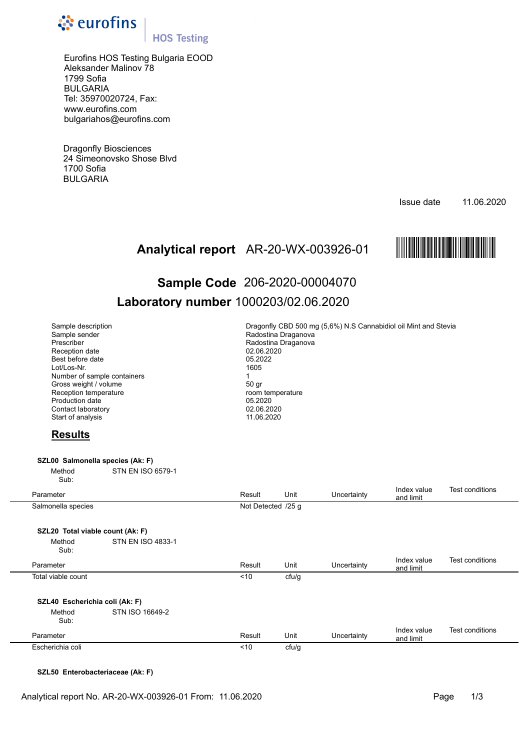

## **HOS Testing**

Eurofins HOS Testing Bulgaria EOOD Aleksander Malinov 78 1799 Sofia BULGARIA Tel: 35970020724, Fax: www.eurofins.com bulgariahos@eurofins.com

Dragonfly Biosciences 24 Simeonovsko Shose Blvd 1700 Sofia BULGARIA

Issue date 11.06.2020



# Analytical report AR-20-WX-003926-01 **MAREE AREENT REPORTED**<br>Sample Code 206-2020-00004070 **Sample Code** 206-2020-00004070 **Laboratory number** 1000203/02.06.2020

| Sample description<br>Sample sender<br>Prescriber<br>Reception date<br>Best before date<br>Lot/Los-Nr.<br>Number of sample containers<br>Gross weight / volume<br>Reception temperature<br>Production date<br>Contact laboratory<br>Start of analysis<br><b>Results</b> |                          | Dragonfly CBD 500 mg (5,6%) N.S Cannabidiol oil Mint and Stevia<br>Radostina Draganova<br>Radostina Draganova<br>02.06.2020<br>05.2022<br>1605<br>1<br>50 gr<br>room temperature<br>05.2020<br>02.06.2020<br>11.06.2020 |       |             |                          |     |  |  |
|-------------------------------------------------------------------------------------------------------------------------------------------------------------------------------------------------------------------------------------------------------------------------|--------------------------|-------------------------------------------------------------------------------------------------------------------------------------------------------------------------------------------------------------------------|-------|-------------|--------------------------|-----|--|--|
| SZL00 Salmonella species (Ak: F)                                                                                                                                                                                                                                        |                          |                                                                                                                                                                                                                         |       |             |                          |     |  |  |
| Method<br>Sub:                                                                                                                                                                                                                                                          | <b>STN EN ISO 6579-1</b> |                                                                                                                                                                                                                         |       |             |                          |     |  |  |
| Parameter                                                                                                                                                                                                                                                               |                          | Result                                                                                                                                                                                                                  | Unit  | Uncertainty | Index value<br>and limit | Tes |  |  |
| Salmonella species                                                                                                                                                                                                                                                      |                          | Not Detected /25 g                                                                                                                                                                                                      |       |             |                          |     |  |  |
| SZL20 Total viable count (Ak: F)                                                                                                                                                                                                                                        |                          |                                                                                                                                                                                                                         |       |             |                          |     |  |  |
| Method<br>Sub:                                                                                                                                                                                                                                                          | <b>STN EN ISO 4833-1</b> |                                                                                                                                                                                                                         |       |             |                          |     |  |  |
| Parameter                                                                                                                                                                                                                                                               |                          | Result                                                                                                                                                                                                                  | Unit  | Uncertainty | Index value<br>and limit | Tes |  |  |
| Total viable count                                                                                                                                                                                                                                                      |                          | < 10                                                                                                                                                                                                                    | cfu/g |             |                          |     |  |  |
| SZL40 Escherichia coli (Ak: F)                                                                                                                                                                                                                                          |                          |                                                                                                                                                                                                                         |       |             |                          |     |  |  |
| Method<br>Sub:                                                                                                                                                                                                                                                          | STN ISO 16649-2          |                                                                                                                                                                                                                         |       |             |                          |     |  |  |

Parameter **Result** Unit Uncertainty and limit Index value Test conditions and limit Escherichia coli cfu/g

## **SZL50 Enterobacteriaceae (Ak: F)**

Test conditions

Test conditions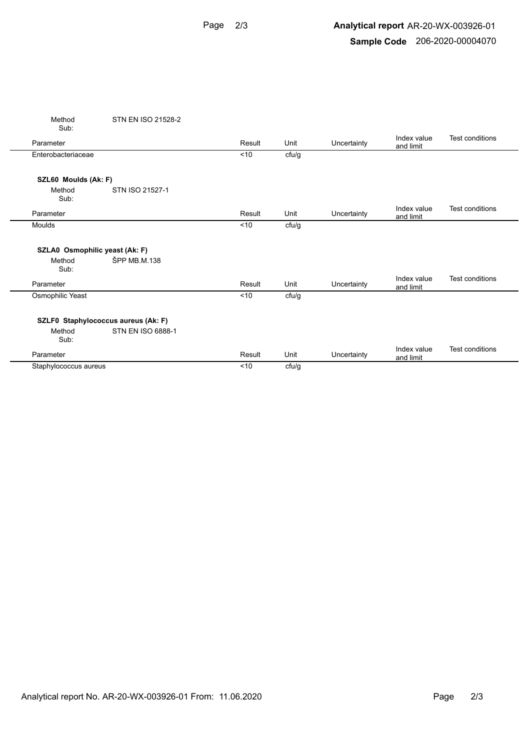## **Analytical report** AR-20-WX-003926-01 **Sample Code** 206-2020-00004070

|                       | Method<br>Sub:                                        | STN EN ISO 21528-2 |        |       |             |                          |                 |
|-----------------------|-------------------------------------------------------|--------------------|--------|-------|-------------|--------------------------|-----------------|
|                       | Parameter                                             |                    | Result | Unit  | Uncertainty | Index value<br>and limit | Test conditions |
|                       | Enterobacteriaceae                                    |                    | < 10   | cfu/g |             |                          |                 |
|                       | SZL60 Moulds (Ak: F)                                  |                    |        |       |             |                          |                 |
|                       | Method<br>Sub:                                        | STN ISO 21527-1    |        |       |             |                          |                 |
|                       | Parameter                                             |                    | Result | Unit  | Uncertainty | Index value<br>and limit | Test conditions |
|                       | Moulds                                                |                    | < 10   | cfu/g |             |                          |                 |
|                       | SZLA0 Osmophilic yeast (Ak: F)<br>Method<br>Sub:      | ŠPP MB.M.138       |        |       |             |                          |                 |
|                       | Parameter                                             |                    | Result | Unit  | Uncertainty | Index value<br>and limit | Test conditions |
|                       | Osmophilic Yeast                                      |                    | < 10   | cfu/g |             |                          |                 |
|                       | SZLF0 Staphylococcus aureus (Ak: F)<br>Method<br>Sub: | STN EN ISO 6888-1  |        |       |             |                          |                 |
|                       | Parameter                                             |                    | Result | Unit  | Uncertainty | Index value<br>and limit | Test conditions |
| Staphylococcus aureus |                                                       | < 10               | cfu/g  |       |             |                          |                 |
|                       |                                                       |                    |        |       |             |                          |                 |

L.

÷,